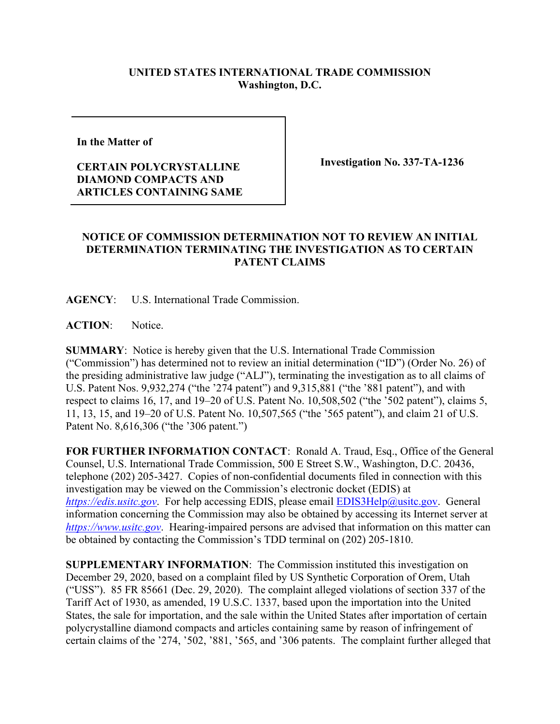## **UNITED STATES INTERNATIONAL TRADE COMMISSION Washington, D.C.**

**In the Matter of** 

## **CERTAIN POLYCRYSTALLINE DIAMOND COMPACTS AND ARTICLES CONTAINING SAME**

**Investigation No. 337-TA-1236**

## **NOTICE OF COMMISSION DETERMINATION NOT TO REVIEW AN INITIAL DETERMINATION TERMINATING THE INVESTIGATION AS TO CERTAIN PATENT CLAIMS**

**AGENCY**: U.S. International Trade Commission.

**ACTION**: Notice.

**SUMMARY**: Notice is hereby given that the U.S. International Trade Commission ("Commission") has determined not to review an initial determination ("ID") (Order No. 26) of the presiding administrative law judge ("ALJ"), terminating the investigation as to all claims of U.S. Patent Nos. 9,932,274 ("the '274 patent") and 9,315,881 ("the '881 patent"), and with respect to claims 16, 17, and 19–20 of U.S. Patent No. 10,508,502 ("the '502 patent"), claims 5, 11, 13, 15, and 19–20 of U.S. Patent No. 10,507,565 ("the '565 patent"), and claim 21 of U.S. Patent No. 8,616,306 ("the '306 patent.")

**FOR FURTHER INFORMATION CONTACT**: Ronald A. Traud, Esq., Office of the General Counsel, U.S. International Trade Commission, 500 E Street S.W., Washington, D.C. 20436, telephone (202) 205-3427. Copies of non-confidential documents filed in connection with this investigation may be viewed on the Commission's electronic docket (EDIS) at *[https://edis.usitc.gov](https://edis.usitc.gov/).* For help accessing EDIS, please email **EDIS3Help@usitc.gov**. General information concerning the Commission may also be obtained by accessing its Internet server at *[https://www.usitc.gov](https://www.usitc.gov/)*. Hearing-impaired persons are advised that information on this matter can be obtained by contacting the Commission's TDD terminal on (202) 205-1810.

**SUPPLEMENTARY INFORMATION**: The Commission instituted this investigation on December 29, 2020, based on a complaint filed by US Synthetic Corporation of Orem, Utah ("USS"). 85 FR 85661 (Dec. 29, 2020). The complaint alleged violations of section 337 of the Tariff Act of 1930, as amended, 19 U.S.C. 1337, based upon the importation into the United States, the sale for importation, and the sale within the United States after importation of certain polycrystalline diamond compacts and articles containing same by reason of infringement of certain claims of the '274, '502, '881, '565, and '306 patents. The complaint further alleged that